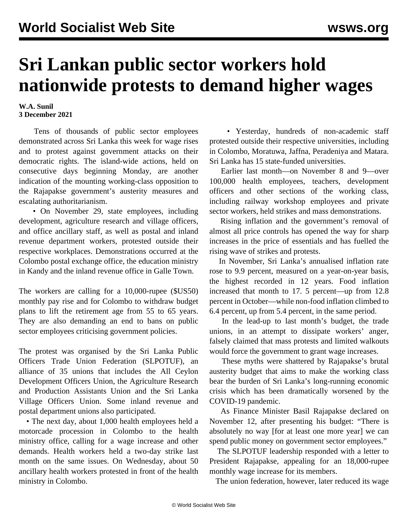## **Sri Lankan public sector workers hold nationwide protests to demand higher wages**

## **W.A. Sunil 3 December 2021**

 Tens of thousands of public sector employees demonstrated across Sri Lanka this week for wage rises and to protest against government attacks on their democratic rights. The island-wide actions, held on consecutive days beginning Monday, are another indication of the mounting working-class opposition to the Rajapakse government's austerity measures and escalating authoritarianism.

• On November 29, state employees, including development, agriculture research and village officers, and office ancillary staff, as well as postal and inland revenue department workers, protested outside their respective workplaces. Demonstrations occurred at the Colombo postal exchange office, the education ministry in Kandy and the inland revenue office in Galle Town.

The workers are calling for a 10,000-rupee (\$US50) monthly pay rise and for Colombo to withdraw budget plans to lift the retirement age from 55 to 65 years. They are also demanding an end to bans on public sector employees criticising government policies.

The protest was organised by the Sri Lanka Public Officers Trade Union Federation (SLPOTUF), an alliance of 35 unions that includes the All Ceylon Development Officers Union, the Agriculture Research and Production Assistants Union and the Sri Lanka Village Officers Union. Some inland revenue and postal department unions also participated.

 • The next day, about 1,000 health employees held a motorcade procession in Colombo to the health ministry office, calling for a wage increase and other demands. Health workers held a two-day [strike](/en/articles/2021/11/29/slhe-n29.html) last month on the same issues. On Wednesday, about 50 ancillary health workers protested in front of the health ministry in Colombo.

 • Yesterday, hundreds of non-academic staff protested outside their respective universities, including in Colombo, Moratuwa, Jaffna, Peradeniya and Matara. Sri Lanka has 15 state-funded universities.

 Earlier last month—on November 8 and 9—over 100,000 health employees, teachers, development officers and other sections of the working class, including railway workshop employees and private sector workers, held strikes and mass demonstrations.

 Rising inflation and the government's removal of almost all price controls has opened the way for sharp increases in the price of essentials and has fuelled the rising wave of strikes and protests.

 In November, Sri Lanka's annualised inflation rate rose to 9.9 percent, measured on a year-on-year basis, the highest recorded in 12 years. Food inflation increased that month to 17. 5 percent—up from 12.8 percent in October—while non-food inflation climbed to 6.4 percent, up from 5.4 percent, in the same period.

 In the lead-up to last month's budget, the trade unions, in an attempt to dissipate workers' anger, falsely claimed that mass protests and limited walkouts would force the government to grant wage increases.

 These myths were shattered by Rajapakse's brutal [austerity budget](/en/articles/2021/11/16/slbu-n16.html) that aims to make the working class bear the burden of Sri Lanka's long-running economic crisis which has been dramatically worsened by the COVID-19 pandemic.

 As Finance Minister Basil Rajapakse declared on November 12, after presenting his budget: "There is absolutely no way [for at least one more year] we can spend public money on government sector employees."

 The SLPOTUF leadership responded with a letter to President Rajapakse, appealing for an 18,000-rupee monthly wage increase for its members.

The union federation, however, later reduced its wage